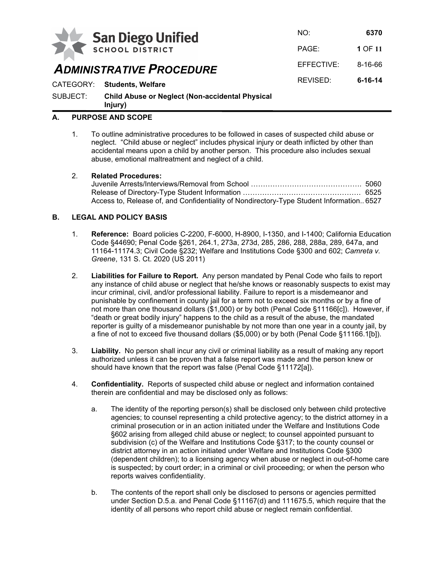

*ADMINISTRATIVE PROCEDURE*

NO: **6370** PAGE: **1** OF **11** EFFECTIVE: 8-16-66 REVISED: **6-16-14** CATEGORY: **Students, Welfare**

SUBJECT: **Child Abuse or Neglect (Non-accidental Physical Injury)**

# **A. PURPOSE AND SCOPE**

1. To outline administrative procedures to be followed in cases of suspected child abuse or neglect. "Child abuse or neglect" includes physical injury or death inflicted by other than accidental means upon a child by another person. This procedure also includes sexual abuse, emotional maltreatment and neglect of a child.

## 2. **Related Procedures:**

| Access to, Release of, and Confidentiality of Nondirectory-Type Student Information 6527 |  |
|------------------------------------------------------------------------------------------|--|

## **B. LEGAL AND POLICY BASIS**

- 1. **Reference:** Board policies C-2200, F-6000, H-8900, I-1350, and I-1400; California Education Code §44690; Penal Code §261, 264.1, 273a, 273d, 285, 286, 288, 288a, 289, 647a, and 11164-11174.3; Civil Code §232; Welfare and Institutions Code §300 and 602; *Camreta v. Greene*, 131 S. Ct. 2020 (US 2011)
- 2. **Liabilities for Failure to Report.** Any person mandated by Penal Code who fails to report any instance of child abuse or neglect that he/she knows or reasonably suspects to exist may incur criminal, civil, and/or professional liability. Failure to report is a misdemeanor and punishable by confinement in county jail for a term not to exceed six months or by a fine of not more than one thousand dollars (\$1,000) or by both (Penal Code §11166[c]). However, if "death or great bodily injury" happens to the child as a result of the abuse, the mandated reporter is guilty of a misdemeanor punishable by not more than one year in a county jail, by a fine of not to exceed five thousand dollars (\$5,000) or by both (Penal Code §11166.1[b]).
- 3. **Liability.** No person shall incur any civil or criminal liability as a result of making any report authorized unless it can be proven that a false report was made and the person knew or should have known that the report was false (Penal Code §11172[a]).
- 4. **Confidentiality.** Reports of suspected child abuse or neglect and information contained therein are confidential and may be disclosed only as follows:
	- a. The identity of the reporting person(s) shall be disclosed only between child protective agencies; to counsel representing a child protective agency; to the district attorney in a criminal prosecution or in an action initiated under the Welfare and Institutions Code §602 arising from alleged child abuse or neglect; to counsel appointed pursuant to subdivision (c) of the Welfare and Institutions Code §317; to the county counsel or district attorney in an action initiated under Welfare and Institutions Code §300 (dependent children); to a licensing agency when abuse or neglect in out-of-home care is suspected; by court order; in a criminal or civil proceeding; or when the person who reports waives confidentiality.
	- b. The contents of the report shall only be disclosed to persons or agencies permitted under Section D.5.a. and Penal Code §11167(d) and 111675.5, which require that the identity of all persons who report child abuse or neglect remain confidential.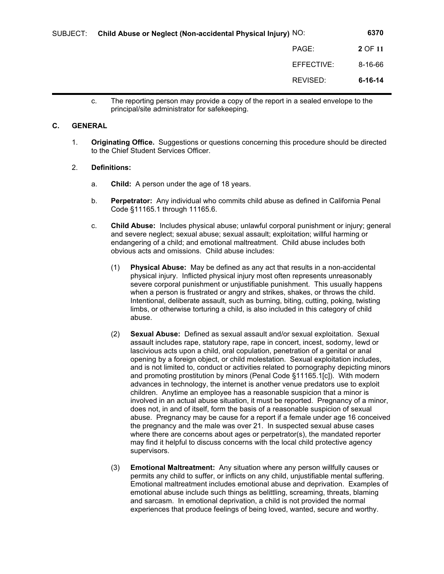| SUBJECT: | Child Abuse or Neglect (Non-accidental Physical Injury) NO: |            | 6370          |
|----------|-------------------------------------------------------------|------------|---------------|
|          |                                                             | PAGE:      | 2 OF 11       |
|          |                                                             | EFFECTIVE: | 8-16-66       |
|          |                                                             | REVISED:   | $6 - 16 - 14$ |

c. The reporting person may provide a copy of the report in a sealed envelope to the principal/site administrator for safekeeping.

#### **C. GENERAL**

1. **Originating Office.** Suggestions or questions concerning this procedure should be directed to the Chief Student Services Officer.

#### 2. **Definitions:**

- a. **Child:** A person under the age of 18 years.
- b. **Perpetrator:** Any individual who commits child abuse as defined in California Penal Code §11165.1 through 11165.6.
- c. **Child Abuse:** Includes physical abuse; unlawful corporal punishment or injury; general and severe neglect; sexual abuse; sexual assault; exploitation; willful harming or endangering of a child; and emotional maltreatment. Child abuse includes both obvious acts and omissions. Child abuse includes:
	- (1) **Physical Abuse:** May be defined as any act that results in a non-accidental physical injury. Inflicted physical injury most often represents unreasonably severe corporal punishment or unjustifiable punishment. This usually happens when a person is frustrated or angry and strikes, shakes, or throws the child. Intentional, deliberate assault, such as burning, biting, cutting, poking, twisting limbs, or otherwise torturing a child, is also included in this category of child abuse.
	- (2) **Sexual Abuse:** Defined as sexual assault and/or sexual exploitation. Sexual assault includes rape, statutory rape, rape in concert, incest, sodomy, lewd or lascivious acts upon a child, oral copulation, penetration of a genital or anal opening by a foreign object, or child molestation. Sexual exploitation includes, and is not limited to, conduct or activities related to pornography depicting minors and promoting prostitution by minors (Penal Code §11165.1[c]). With modern advances in technology, the internet is another venue predators use to exploit children. Anytime an employee has a reasonable suspicion that a minor is involved in an actual abuse situation, it must be reported. Pregnancy of a minor, does not, in and of itself, form the basis of a reasonable suspicion of sexual abuse. Pregnancy may be cause for a report if a female under age 16 conceived the pregnancy and the male was over 21. In suspected sexual abuse cases where there are concerns about ages or perpetrator(s), the mandated reporter may find it helpful to discuss concerns with the local child protective agency supervisors.
	- (3) **Emotional Maltreatment:** Any situation where any person willfully causes or permits any child to suffer, or inflicts on any child, unjustifiable mental suffering. Emotional maltreatment includes emotional abuse and deprivation. Examples of emotional abuse include such things as belittling, screaming, threats, blaming and sarcasm. In emotional deprivation, a child is not provided the normal experiences that produce feelings of being loved, wanted, secure and worthy.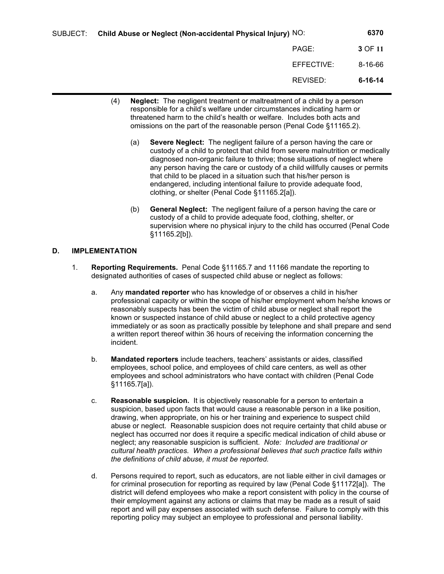| SUBJECT: | Child Abuse or Neglect (Non-accidental Physical Injury) NO: |            | 6370          |
|----------|-------------------------------------------------------------|------------|---------------|
|          |                                                             | PAGE:      | 3 OF 11       |
|          |                                                             | EFFECTIVE: | 8-16-66       |
|          |                                                             | REVISED:   | $6 - 16 - 14$ |

- (4) **Neglect:** The negligent treatment or maltreatment of a child by a person responsible for a child's welfare under circumstances indicating harm or threatened harm to the child's health or welfare. Includes both acts and omissions on the part of the reasonable person (Penal Code §11165.2).
	- (a) **Severe Neglect:** The negligent failure of a person having the care or custody of a child to protect that child from severe malnutrition or medically diagnosed non-organic failure to thrive; those situations of neglect where any person having the care or custody of a child willfully causes or permits that child to be placed in a situation such that his/her person is endangered, including intentional failure to provide adequate food, clothing, or shelter (Penal Code §11165.2[a]).
	- (b) **General Neglect:** The negligent failure of a person having the care or custody of a child to provide adequate food, clothing, shelter, or supervision where no physical injury to the child has occurred (Penal Code §11165.2[b]).

## **D. IMPLEMENTATION**

- 1. **Reporting Requirements.** Penal Code §11165.7 and 11166 mandate the reporting to designated authorities of cases of suspected child abuse or neglect as follows:
	- a. Any **mandated reporter** who has knowledge of or observes a child in his/her professional capacity or within the scope of his/her employment whom he/she knows or reasonably suspects has been the victim of child abuse or neglect shall report the known or suspected instance of child abuse or neglect to a child protective agency immediately or as soon as practically possible by telephone and shall prepare and send a written report thereof within 36 hours of receiving the information concerning the incident.
	- b. **Mandated reporters** include teachers, teachers' assistants or aides, classified employees, school police, and employees of child care centers, as well as other employees and school administrators who have contact with children (Penal Code §11165.7[a]).
	- c. **Reasonable suspicion.** It is objectively reasonable for a person to entertain a suspicion, based upon facts that would cause a reasonable person in a like position, drawing, when appropriate, on his or her training and experience to suspect child abuse or neglect. Reasonable suspicion does not require certainty that child abuse or neglect has occurred nor does it require a specific medical indication of child abuse or neglect; any reasonable suspicion is sufficient. *Note: Included are traditional or cultural health practices. When a professional believes that such practice falls within the definitions of child abuse, it must be reported.*
	- d. Persons required to report, such as educators, are not liable either in civil damages or for criminal prosecution for reporting as required by law (Penal Code §11172[a]). The district will defend employees who make a report consistent with policy in the course of their employment against any actions or claims that may be made as a result of said report and will pay expenses associated with such defense. Failure to comply with this reporting policy may subject an employee to professional and personal liability.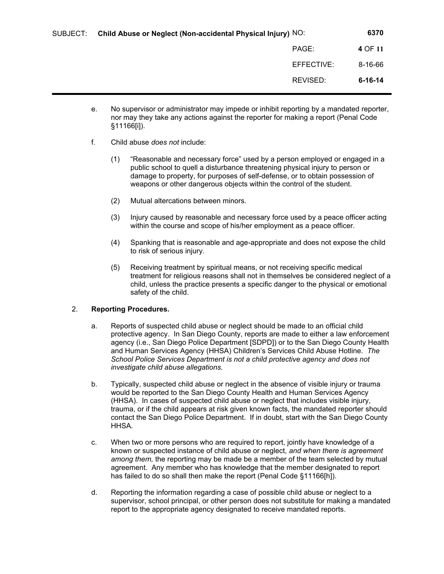| SUBJECT: | Child Abuse or Neglect (Non-accidental Physical Injury) NO: |            | 6370          |
|----------|-------------------------------------------------------------|------------|---------------|
|          |                                                             | PAGE:      | 4 OF 11       |
|          |                                                             | EFFECTIVE: | $8 - 16 - 66$ |
|          |                                                             | REVISED:   | $6 - 16 - 14$ |
|          |                                                             |            |               |

- e. No supervisor or administrator may impede or inhibit reporting by a mandated reporter, nor may they take any actions against the reporter for making a report (Penal Code §11166[i]).
- f. Child abuse *does not* include:
	- (1) "Reasonable and necessary force" used by a person employed or engaged in a public school to quell a disturbance threatening physical injury to person or damage to property, for purposes of self-defense, or to obtain possession of weapons or other dangerous objects within the control of the student.
	- (2) Mutual altercations between minors.
	- (3) Injury caused by reasonable and necessary force used by a peace officer acting within the course and scope of his/her employment as a peace officer.
	- (4) Spanking that is reasonable and age-appropriate and does not expose the child to risk of serious injury.
	- (5) Receiving treatment by spiritual means, or not receiving specific medical treatment for religious reasons shall not in themselves be considered neglect of a child, unless the practice presents a specific danger to the physical or emotional safety of the child.

## 2. **Reporting Procedures.**

- a. Reports of suspected child abuse or neglect should be made to an official child protective agency. In San Diego County, reports are made to either a law enforcement agency (i.e., San Diego Police Department [SDPD]) or to the San Diego County Health and Human Services Agency (HHSA) Children's Services Child Abuse Hotline. *The School Police Services Department is not a child protective agency and does not investigate child abuse allegations.*
- b. Typically, suspected child abuse or neglect in the absence of visible injury or trauma would be reported to the San Diego County Health and Human Services Agency (HHSA). In cases of suspected child abuse or neglect that includes visible injury, trauma, or if the child appears at risk given known facts, the mandated reporter should contact the San Diego Police Department. If in doubt, start with the San Diego County HHSA.
- c. When two or more persons who are required to report, jointly have knowledge of a known or suspected instance of child abuse or neglect, *and when there is agreement among them,* the reporting may be made be a member of the team selected by mutual agreement. Any member who has knowledge that the member designated to report has failed to do so shall then make the report (Penal Code §11166[h]).
- d. Reporting the information regarding a case of possible child abuse or neglect to a supervisor, school principal, or other person does not substitute for making a mandated report to the appropriate agency designated to receive mandated reports.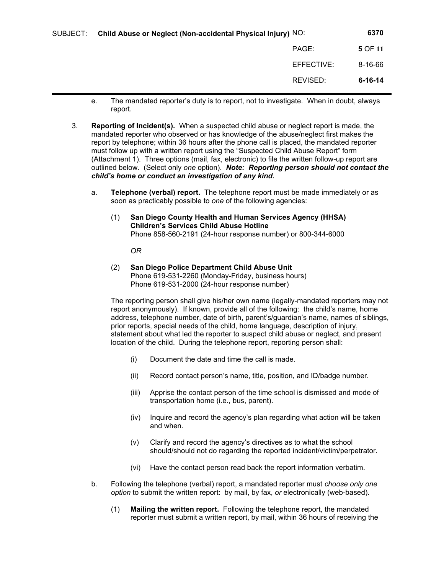| SUBJECT: | Child Abuse or Neglect (Non-accidental Physical Injury) NO: |            | 6370          |
|----------|-------------------------------------------------------------|------------|---------------|
|          |                                                             | PAGE:      | 5 OF 11       |
|          |                                                             | EFFECTIVE: | 8-16-66       |
|          |                                                             | REVISED:   | $6 - 16 - 14$ |

- e. The mandated reporter's duty is to report, not to investigate. When in doubt, always report.
- 3. **Reporting of Incident(s).** When a suspected child abuse or neglect report is made, the mandated reporter who observed or has knowledge of the abuse/neglect first makes the report by telephone; within 36 hours after the phone call is placed, the mandated reporter must follow up with a written report using the "Suspected Child Abuse Report" form (Attachment 1). Three options (mail, fax, electronic) to file the written follow-up report are outlined below. (Select only *one* option). *Note: Reporting person should not contact the child's home or conduct an investigation of any kind.*
	- a. **Telephone (verbal) report.** The telephone report must be made immediately or as soon as practicably possible to *one* of the following agencies:
		- (1) **San Diego County Health and Human Services Agency (HHSA) Children's Services Child Abuse Hotline** Phone 858-560-2191 (24-hour response number) or 800-344-6000

*OR*

(2) **San Diego Police Department Child Abuse Unit** Phone 619-531-2260 (Monday-Friday, business hours) Phone 619-531-2000 (24-hour response number)

The reporting person shall give his/her own name (legally-mandated reporters may not report anonymously). If known, provide all of the following: the child's name, home address, telephone number, date of birth, parent's/guardian's name, names of siblings, prior reports, special needs of the child, home language, description of injury, statement about what led the reporter to suspect child abuse or neglect, and present location of the child. During the telephone report, reporting person shall:

- (i) Document the date and time the call is made.
- (ii) Record contact person's name, title, position, and ID/badge number.
- (iii) Apprise the contact person of the time school is dismissed and mode of transportation home (i.e., bus, parent).
- (iv) Inquire and record the agency's plan regarding what action will be taken and when.
- (v) Clarify and record the agency's directives as to what the school should/should not do regarding the reported incident/victim/perpetrator.
- (vi) Have the contact person read back the report information verbatim.
- b. Following the telephone (verbal) report, a mandated reporter must *choose only one option* to submit the written report: by mail, by fax, *or* electronically (web-based).
	- (1) **Mailing the written report.** Following the telephone report, the mandated reporter must submit a written report, by mail, within 36 hours of receiving the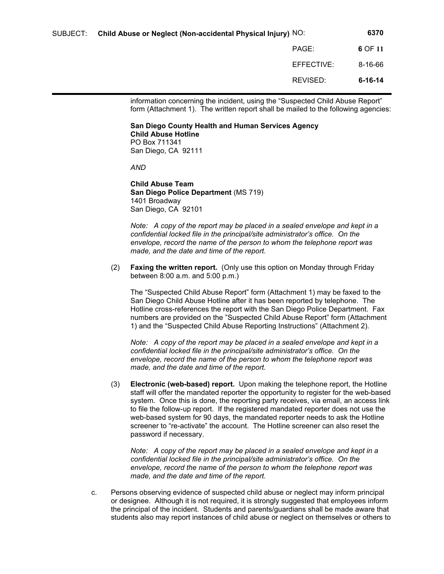| SUBJECT: | Child Abuse or Neglect (Non-accidental Physical Injury) NO: |            | 6370          |
|----------|-------------------------------------------------------------|------------|---------------|
|          |                                                             | PAGE:      | 6 OF 11       |
|          |                                                             | EFFECTIVE: | 8-16-66       |
|          |                                                             | REVISED:   | $6 - 16 - 14$ |

information concerning the incident, using the "Suspected Child Abuse Report" form (Attachment 1). The written report shall be mailed to the following agencies:

#### **San Diego County Health and Human Services Agency Child Abuse Hotline** PO Box 711341 San Diego, CA 92111

*AND*

**Child Abuse Team San Diego Police Department** (MS 719) 1401 Broadway San Diego, CA 92101

*Note: A copy of the report may be placed in a sealed envelope and kept in a confidential locked file in the principal/site administrator's office. On the envelope, record the name of the person to whom the telephone report was made, and the date and time of the report.*

(2) **Faxing the written report.** (Only use this option on Monday through Friday between 8:00 a.m. and 5:00 p.m.)

The "Suspected Child Abuse Report" form (Attachment 1) may be faxed to the San Diego Child Abuse Hotline after it has been reported by telephone. The Hotline cross-references the report with the San Diego Police Department. Fax numbers are provided on the "Suspected Child Abuse Report" form (Attachment 1) and the "Suspected Child Abuse Reporting Instructions" (Attachment 2).

*Note:* A copy of the report may be placed in a sealed envelope and kept in a *confidential locked file in the principal/site administrator's office. On the envelope, record the name of the person to whom the telephone report was made, and the date and time of the report.*

(3) **Electronic (web-based) report.** Upon making the telephone report, the Hotline staff will offer the mandated reporter the opportunity to register for the web-based system. Once this is done, the reporting party receives, via email, an access link to file the follow-up report. If the registered mandated reporter does not use the web-based system for 90 days, the mandated reporter needs to ask the Hotline screener to "re-activate" the account. The Hotline screener can also reset the password if necessary.

*Note: A copy of the report may be placed in a sealed envelope and kept in a confidential locked file in the principal/site administrator's office. On the envelope, record the name of the person to whom the telephone report was made, and the date and time of the report.*

c. Persons observing evidence of suspected child abuse or neglect may inform principal or designee. Although it is not required, it is strongly suggested that employees inform the principal of the incident. Students and parents/guardians shall be made aware that students also may report instances of child abuse or neglect on themselves or others to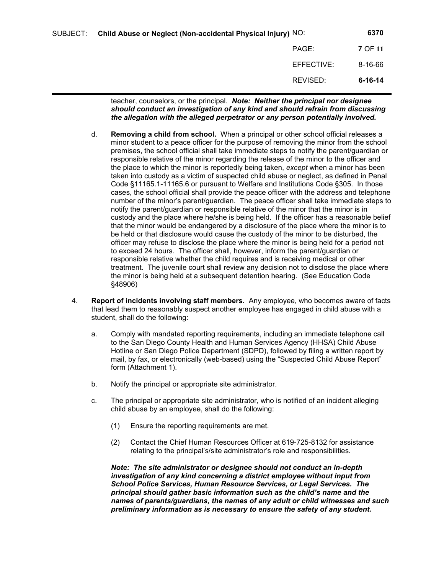| SUBJECT: | Child Abuse or Neglect (Non-accidental Physical Injury) NO: |            | 6370          |
|----------|-------------------------------------------------------------|------------|---------------|
|          |                                                             | PAGE:      | 7 OF 11       |
|          |                                                             | EFFECTIVE: | 8-16-66       |
|          |                                                             | REVISED:   | $6 - 16 - 14$ |

teacher, counselors, or the principal. *Note: Neither the principal nor designee should conduct an investigation of any kind and should refrain from discussing the allegation with the alleged perpetrator or any person potentially involved.*

- d. **Removing a child from school.** When a principal or other school official releases a minor student to a peace officer for the purpose of removing the minor from the school premises, the school official shall take immediate steps to notify the parent/guardian or responsible relative of the minor regarding the release of the minor to the officer and the place to which the minor is reportedly being taken, *except* when a minor has been taken into custody as a victim of suspected child abuse or neglect, as defined in Penal Code §11165.1-11165.6 or pursuant to Welfare and Institutions Code §305. In those cases, the school official shall provide the peace officer with the address and telephone number of the minor's parent/guardian. The peace officer shall take immediate steps to notify the parent/guardian or responsible relative of the minor that the minor is in custody and the place where he/she is being held. If the officer has a reasonable belief that the minor would be endangered by a disclosure of the place where the minor is to be held or that disclosure would cause the custody of the minor to be disturbed, the officer may refuse to disclose the place where the minor is being held for a period not to exceed 24 hours. The officer shall, however, inform the parent/guardian or responsible relative whether the child requires and is receiving medical or other treatment. The juvenile court shall review any decision not to disclose the place where the minor is being held at a subsequent detention hearing. (See Education Code §48906)
- 4. **Report of incidents involving staff members.** Any employee, who becomes aware of facts that lead them to reasonably suspect another employee has engaged in child abuse with a student, shall do the following:
	- a. Comply with mandated reporting requirements, including an immediate telephone call to the San Diego County Health and Human Services Agency (HHSA) Child Abuse Hotline or San Diego Police Department (SDPD), followed by filing a written report by mail, by fax, or electronically (web-based) using the "Suspected Child Abuse Report" form (Attachment 1).
	- b. Notify the principal or appropriate site administrator.
	- c. The principal or appropriate site administrator, who is notified of an incident alleging child abuse by an employee, shall do the following:
		- (1) Ensure the reporting requirements are met.
		- (2) Contact the Chief Human Resources Officer at 619-725-8132 for assistance relating to the principal's/site administrator's role and responsibilities.

*Note: The site administrator or designee should not conduct an in-depth investigation of any kind concerning a district employee without input from School Police Services, Human Resource Services, or Legal Services. The principal should gather basic information such as the child's name and the names of parents/guardians, the names of any adult or child witnesses and such preliminary information as is necessary to ensure the safety of any student.*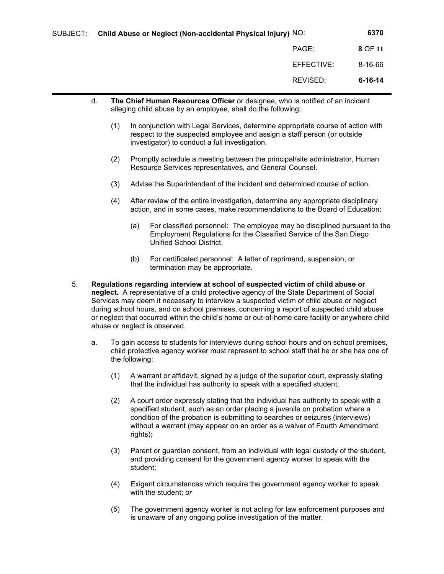|          |            | 6370                                                        |
|----------|------------|-------------------------------------------------------------|
|          | PAGE:      | 8 OF 11                                                     |
|          | EFFECTIVE: | $8 - 16 - 66$                                               |
|          | REVISED:   | $6 - 16 - 14$                                               |
| SUBJECT: |            | Child Abuse or Neglect (Non-accidental Physical Injury) NO: |

- d. **The Chief Human Resources Officer** or designee, who is notified of an incident alleging child abuse by an employee, shall do the following:
	- (1) In conjunction with Legal Services, determine appropriate course of action with respect to the suspected employee and assign a staff person (or outside investigator) to conduct a full investigation.
	- (2) Promptly schedule a meeting between the principal/site administrator, Human Resource Services representatives, and General Counsel.
	- (3) Advise the Superintendent of the incident and determined course of action.
	- (4) After review of the entire investigation, determine any appropriate disciplinary action, and in some cases, make recommendations to the Board of Education:
		- (a) For classified personnel: The employee may be disciplined pursuant to the Employment Regulations for the Classified Service of the San Diego Unified School District.
		- (b) For certificated personnel: A letter of reprimand, suspension, or termination may be appropriate.
- 5. **Regulations regarding interview at school of suspected victim of child abuse or neglect.** A representative of a child protective agency of the State Department of Social Services may deem it necessary to interview a suspected victim of child abuse or neglect during school hours, and on school premises, concerning a report of suspected child abuse or neglect that occurred within the child's home or out-of-home care facility or anywhere child abuse or neglect is observed.
	- a. To gain access to students for interviews during school hours and on school premises, child protective agency worker must represent to school staff that he or she has one of the following:
		- (1) A warrant or affidavit, signed by a judge of the superior court, expressly stating that the individual has authority to speak with a specified student;
		- (2) A court order expressly stating that the individual has authority to speak with a specified student, such as an order placing a juvenile on probation where a condition of the probation is submitting to searches or seizures (interviews) without a warrant (may appear on an order as a waiver of Fourth Amendment rights);
		- (3) Parent or guardian consent, from an individual with legal custody of the student, and providing consent for the government agency worker to speak with the student;
		- (4) Exigent circumstances which require the government agency worker to speak with the student; *or*
		- (5) The government agency worker is not acting for law enforcement purposes and is unaware of any ongoing police investigation of the matter.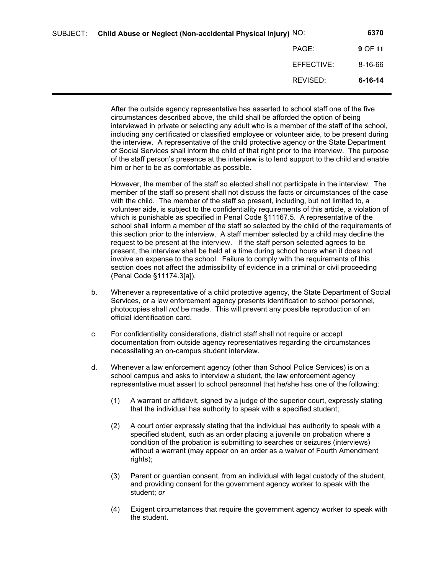| SUBJECT: | Child Abuse or Neglect (Non-accidental Physical Injury) NO: |            | 6370          |
|----------|-------------------------------------------------------------|------------|---------------|
|          |                                                             | PAGE:      | 9 OF 11       |
|          |                                                             | EFFECTIVE: | $8 - 16 - 66$ |
|          |                                                             | REVISED:   | $6 - 16 - 14$ |

After the outside agency representative has asserted to school staff one of the five circumstances described above, the child shall be afforded the option of being interviewed in private or selecting any adult who is a member of the staff of the school, including any certificated or classified employee or volunteer aide, to be present during the interview. A representative of the child protective agency or the State Department of Social Services shall inform the child of that right prior to the interview. The purpose of the staff person's presence at the interview is to lend support to the child and enable him or her to be as comfortable as possible.

However, the member of the staff so elected shall not participate in the interview. The member of the staff so present shall not discuss the facts or circumstances of the case with the child. The member of the staff so present, including, but not limited to, a volunteer aide, is subject to the confidentiality requirements of this article, a violation of which is punishable as specified in Penal Code §11167.5. A representative of the school shall inform a member of the staff so selected by the child of the requirements of this section prior to the interview. A staff member selected by a child may decline the request to be present at the interview. If the staff person selected agrees to be present, the interview shall be held at a time during school hours when it does not involve an expense to the school. Failure to comply with the requirements of this section does not affect the admissibility of evidence in a criminal or civil proceeding (Penal Code §11174.3[a]).

- b. Whenever a representative of a child protective agency, the State Department of Social Services, or a law enforcement agency presents identification to school personnel, photocopies shall *not* be made. This will prevent any possible reproduction of an official identification card.
- c. For confidentiality considerations, district staff shall not require or accept documentation from outside agency representatives regarding the circumstances necessitating an on-campus student interview.
- d. Whenever a law enforcement agency (other than School Police Services) is on a school campus and asks to interview a student, the law enforcement agency representative must assert to school personnel that he/she has one of the following:
	- (1) A warrant or affidavit, signed by a judge of the superior court, expressly stating that the individual has authority to speak with a specified student;
	- (2) A court order expressly stating that the individual has authority to speak with a specified student, such as an order placing a juvenile on probation where a condition of the probation is submitting to searches or seizures (interviews) without a warrant (may appear on an order as a waiver of Fourth Amendment rights);
	- (3) Parent or guardian consent, from an individual with legal custody of the student, and providing consent for the government agency worker to speak with the student; *or*
	- (4) Exigent circumstances that require the government agency worker to speak with the student.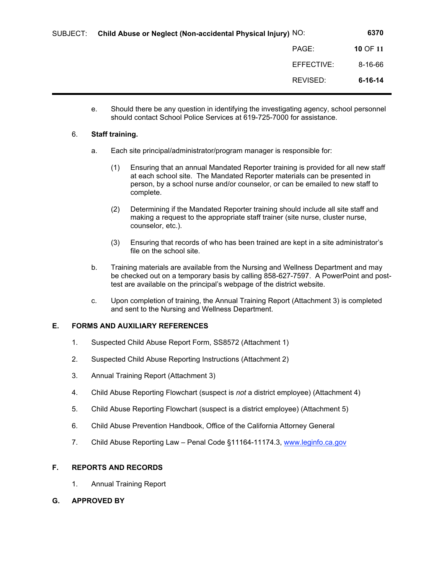| Child Abuse or Neglect (Non-accidental Physical Injury) NO: | 6370          |
|-------------------------------------------------------------|---------------|
| PAGE:                                                       | 10 OF 11      |
| EFFECTIVE:                                                  | 8-16-66       |
| REVISED:                                                    | $6 - 16 - 14$ |
|                                                             |               |

e. Should there be any question in identifying the investigating agency, school personnel should contact School Police Services at 619-725-7000 for assistance.

#### 6. **Staff training.**

- a. Each site principal/administrator/program manager is responsible for:
	- (1) Ensuring that an annual Mandated Reporter training is provided for all new staff at each school site. The Mandated Reporter materials can be presented in person, by a school nurse and/or counselor, or can be emailed to new staff to complete.
	- (2) Determining if the Mandated Reporter training should include all site staff and making a request to the appropriate staff trainer (site nurse, cluster nurse, counselor, etc.).
	- (3) Ensuring that records of who has been trained are kept in a site administrator's file on the school site.
- b. Training materials are available from the Nursing and Wellness Department and may be checked out on a temporary basis by calling 858-627-7597. A PowerPoint and posttest are available on the principal's webpage of the district website.
- c. Upon completion of training, the Annual Training Report (Attachment 3) is completed and sent to the Nursing and Wellness Department.

## **E. FORMS AND AUXILIARY REFERENCES**

- 1. Suspected Child Abuse Report Form, SS8572 (Attachment 1)
- 2. Suspected Child Abuse Reporting Instructions (Attachment 2)
- 3. Annual Training Report (Attachment 3)
- 4. Child Abuse Reporting Flowchart (suspect is *not* a district employee) (Attachment 4)
- 5. Child Abuse Reporting Flowchart (suspect is a district employee) (Attachment 5)
- 6. Child Abuse Prevention Handbook, Office of the California Attorney General
- 7. Child Abuse Reporting Law Penal Code §11164-11174.3, www.leginfo.ca.gov

## **F. REPORTS AND RECORDS**

- 1. Annual Training Report
- **G. APPROVED BY**